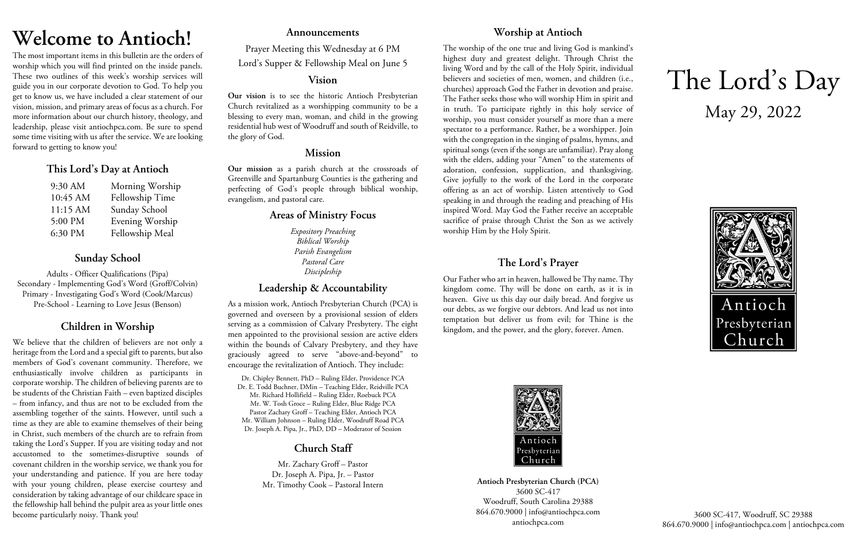# **Welcome to Antioch!**

The most important items in this bulletin are the orders of worship which you will find printed on the inside panels. These two outlines of this week's worship services will guide you in our corporate devotion to God. To help you get to know us, we have included a clear statement of our vision, mission, and primary areas of focus as a church. For more information about our church history, theology, and leadership, please visit antiochpca.com. Be sure to spend some time visiting with us after the service. We are looking forward to getting to know you!

## **This Lord's Day at Antioch**

| 9:30 AM  | Morning Worship |
|----------|-----------------|
| 10:45 AM | Fellowship Time |
| 11:15 AM | Sunday School   |
| 5:00 PM  | Evening Worship |
| 6:30 PM  | Fellowship Meal |

# **Sunday School**

Adults - Officer Qualifications (Pipa) Secondary - Implementing God's Word (Groff/Colvin) Primary - Investigating God's Word (Cook/Marcus) Pre-School - Learning to Love Jesus (Benson)

# **Children in Worship**

We believe that the children of believers are not only a heritage from the Lord and a special gift to parents, but also members of God's covenant community. Therefore, we enthusiastically involve children as participants in corporate worship. The children of believing parents are to be students of the Christian Faith – even baptized disciples – from infancy, and thus are not to be excluded from the assembling together of the saints. However, until such a time as they are able to examine themselves of their being in Christ, such members of the church are to refrain from taking the Lord's Supper. If you are visiting today and not accustomed to the sometimes-disruptive sounds of covenant children in the worship service, we thank you for your understanding and patience. If you are here today with your young children, please exercise courtesy and consideration by taking advantage of our childcare space in the fellowship hall behind the pulpit area as your little ones become particularly noisy. Thank you!

### **Announcements**

Prayer Meeting this Wednesday at 6 PM Lord's Supper & Fellowship Meal on June 5

### **Vision**

**Our vision** is to see the historic Antioch Presbyterian Church revitalized as a worshipping community to be a blessing to every man, woman, and child in the growing residential hub west of Woodruff and south of Reidville, to the glory of God.

### **Mission**

**Our mission** as a parish church at the crossroads of Greenville and Spartanburg Counties is the gathering and perfecting of God's people through biblical worship, evangelism, and pastoral care.

## **Areas of Ministry Focus**

*Expository Preaching Biblical Worship Parish Evangelism Pastoral Care Discipleship*

# **Leadership & Accountability**

As a mission work, Antioch Presbyterian Church (PCA) is governed and overseen by a provisional session of elders serving as a commission of Calvary Presbytery. The eight men appointed to the provisional session are active elders within the bounds of Calvary Presbytery, and they have graciously agreed to serve "above-and-beyond" to encourage the revitalization of Antioch. They include:

Dr. Chipley Bennett, PhD – Ruling Elder, Providence PCA Dr. E. Todd Buchner, DMin – Teaching Elder, Reidville PCA Mr. Richard Hollifield – Ruling Elder, Roebuck PCA Mr. W. Tosh Groce – Ruling Elder, Blue Ridge PCA Pastor Zachary Groff – Teaching Elder, Antioch PCA Mr. William Johnson – Ruling Elder, Woodruff Road PCA Dr. Joseph A. Pipa, Jr., PhD, DD – Moderator of Session

# **Church Staff**

Mr. Zachary Groff – Pastor Dr. Joseph A. Pipa, Jr. – Pastor Mr. Timothy Cook – Pastoral Intern

# **Worship at Antioch**

The worship of the one true and living God is mankind's highest duty and greatest delight. Through Christ the living Word and by the call of the Holy Spirit, individual believers and societies of men, women, and children (i.e., churches) approach God the Father in devotion and praise. The Father seeks those who will worship Him in spirit and in truth. To participate rightly in this holy service of worship, you must consider yourself as more than a mere spectator to a performance. Rather, be a worshipper. Join with the congregation in the singing of psalms, hymns, and spiritual songs (even if the songs are unfamiliar). Pray along with the elders, adding your "Amen" to the statements of adoration, confession, supplication, and thanksgiving. Give joyfully to the work of the Lord in the corporate offering as an act of worship. Listen attentively to God speaking in and through the reading and preaching of His inspired Word. May God the Father receive an acceptable sacrifice of praise through Christ the Son as we actively worship Him by the Holy Spirit.

# **The Lord's Prayer**

Our Father who art in heaven, hallowed be Thy name. Thy kingdom come. Thy will be done on earth, as it is in heaven. Give us this day our daily bread. And forgive us our debts, as we forgive our debtors. And lead us not into temptation but deliver us from evil; for Thine is the kingdom, and the power, and the glory, forever. Amen.



**Antioch Presbyterian Church (PCA)** 3600 SC-417 Woodruff, South Carolina 29388 864.670.9000 | info@antiochpca.com antiochpca.com

# The Lord's Day May 29, 2022



3600 SC-417, Woodruff, SC 29388 864.670.9000 | info@antiochpca.com | antiochpca.com